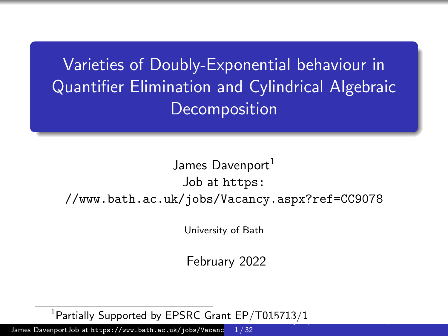<span id="page-0-0"></span>Varieties of Doubly-Exponential behaviour in Quantifier Elimination and Cylindrical Algebraic **Decomposition** 

## James Davenport<sup>1</sup> Job at [https:](https://www.bath.ac.uk/jobs/Vacancy.aspx?ref=CC9078) [//www.bath.ac.uk/jobs/Vacancy.aspx?ref=CC9078](https://www.bath.ac.uk/jobs/Vacancy.aspx?ref=CC9078)

University of Bath

February 2022

<sup>1</sup>Partially Supported by EPSRC Grant EP/T015713/1  $\frac{E_H(y + 0.85 + 2.9y + 2.09y + 0.099y + 0.099y + 0.099y + 0.099y + 0.099y + 0.099y + 0.099y + 0.099y + 0.099y + 0.099y + 0.099y + 0.099y + 0.099y + 0.099y + 0.099y + 0.099y + 0.099y + 0.099y + 0.099y + 0.099y + 0.099y + 0.099y + 0.099y + 0.099y + 0$ 

James DavenportJob at https://www.bath.ac.uk/jobs/Vacanc 1 / 32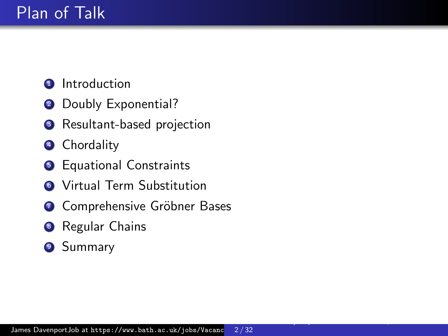- **1** Introduction
- **2** Doubly Exponential?
- <sup>3</sup> Resultant-based projection
- 4 Chordality
- **6** Equational Constraints
- **6** Virtual Term Substitution
- <sup>7</sup> Comprehensive Gröbner Bases
- **8** Regular Chains
- <sup>9</sup> Summary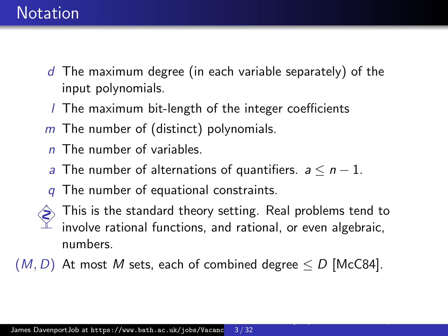## **Notation**

- $d$  The maximum degree (in each variable separately) of the input polynomials.
- l The maximum bit-length of the integer coefficients
- $m$  The number of (distinct) polynomials.
- $n$  The number of variables.
- a The number of alternations of quantifiers.  $a \leq n-1$ .
- The number of equational constraints.
- This is the standard theory setting. Real problems tend to involve rational functions, and rational, or even algebraic, numbers.

[Varieties of Doubly-Exponential behaviour in Quantifier Elimination and Cylindrical Algebraic Decomposition](#page-0-0)

 $(M, D)$  At most M sets, each of combined degree  $\leq D$  [\[McC84\]](#page-28-0).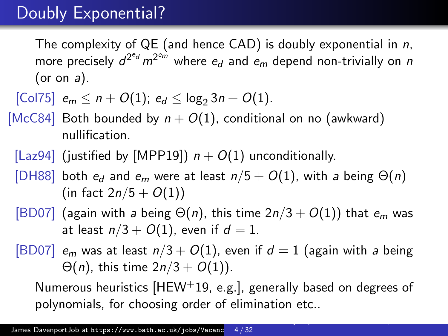# Doubly Exponential?

The complexity of  $QE$  (and hence  $CAD$ ) is doubly exponential in  $n$ , more precisely  $d^{2^{e_d}} m^{2^{e_m}}$  where  $e_d$  and  $e_m$  depend non-trivially on  $n$ (or on  $a$ ).

$$
[\text{Col75}] \ \ e_m \leq n + O(1); \ e_d \leq \log_2 3n + O(1).
$$

- [\[McC84\]](#page-28-0) Both bounded by  $n + O(1)$ , conditional on no (awkward) nullification.
	- [\[Laz94\]](#page-26-0) (justified by [\[MPP19\]](#page-28-1))  $n + O(1)$  unconditionally.
	- [\[DH88\]](#page-23-1) both  $e_d$  and  $e_m$  were at least  $n/5 + O(1)$ , with a being  $\Theta(n)$ (in fact  $2n/5 + O(1)$ )
	- [\[BD07\]](#page-20-0) (again with a being  $\Theta(n)$ , this time  $2n/3 + O(1)$ ) that  $e_m$  was at least  $n/3 + O(1)$ , even if  $d = 1$ .
	- [\[BD07\]](#page-20-0)  $e_m$  was at least  $n/3 + O(1)$ , even if  $d = 1$  (again with a being  $\Theta(n)$ , this time  $2n/3 + O(1)$ ).

Numerous heuristics [\[HEW](#page-26-1)+19, e.g.], generally based on degrees of polynomials, for choosing order of elimination etc..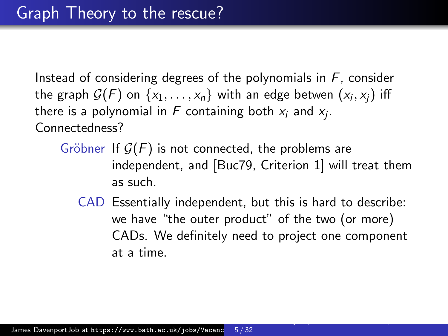Instead of considering degrees of the polynomials in  $F$ , consider the graph  $\mathcal{G}(F)$  on  $\{x_1,\ldots,x_n\}$  with an edge betwen  $(x_i,x_j)$  iff there is a polynomial in  $F$  containing both  $x_i$  and  $x_j$ . Connectedness?

- Gröbner If  $\mathcal{G}(F)$  is not connected, the problems are independent, and [\[Buc79,](#page-21-0) Criterion 1] will treat them as such.
	- CAD Essentially independent, but this is hard to describe: we have "the outer product" of the two (or more) CADs. We definitely need to project one component at a time.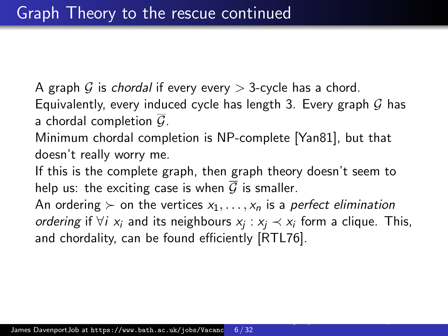A graph G is chordal if every every  $>$  3-cycle has a chord. Equivalently, every induced cycle has length 3. Every graph  $G$  has a chordal completion  $\overline{G}$ .

Minimum chordal completion is NP-complete [\[Yan81\]](#page-31-1), but that doesn't really worry me.

If this is the complete graph, then graph theory doesn't seem to help us: the exciting case is when  $\overline{G}$  is smaller.

An ordering  $\succ$  on the vertices  $x_1, \ldots, x_n$  is a perfect elimination *ordering* if  $\forall i$   $x_i$  and its neighbours  $x_j$  :  $x_j \prec x_i$  form a clique. This, and chordality, can be found efficiently [\[RTL76\]](#page-29-0).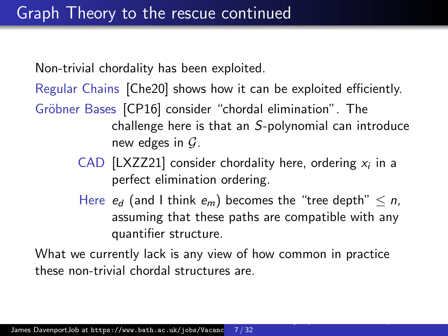Non-trivial chordality has been exploited.

Regular Chains [\[Che20\]](#page-21-1) shows how it can be exploited efficiently.

- Gröbner Bases [\[CP16\]](#page-23-2) consider "chordal elimination". The challenge here is that an S-polynomial can introduce new edges in  $\mathcal{G}$ .
	- CAD [\[LXZZ21\]](#page-27-0) consider chordality here, ordering  $x_i$  in a perfect elimination ordering.
	- Here  $e_d$  (and I think  $e_m$ ) becomes the "tree depth"  $\leq n$ , assuming that these paths are compatible with any quantifier structure.

[Varieties of Doubly-Exponential behaviour in Quantifier Elimination and Cylindrical Algebraic Decomposition](#page-0-0)

What we currently lack is any view of how common in practice these non-trivial chordal structures are.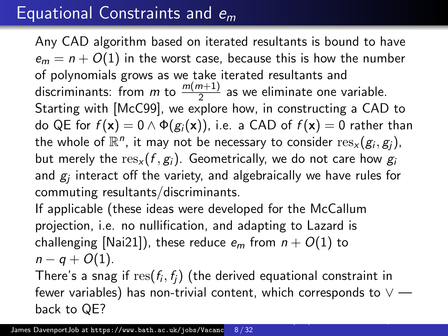## Equational Constraints and  $e_m$

Any CAD algorithm based on iterated resultants is bound to have  $e_m = n + O(1)$  in the worst case, because this is how the number of polynomials grows as we take iterated resultants and discriminants: from *m* to  $\frac{m(m+1)}{2}$  as we eliminate one variable. Starting with [\[McC99\]](#page-28-2), we explore how, in constructing a CAD to do QE for  $f(\mathbf{x}) = 0 \wedge \Phi(g_i(\mathbf{x}))$ , i.e. a CAD of  $f(\mathbf{x}) = 0$  rather than the whole of  $\mathbb{R}^n$ , it may not be necessary to consider  $\operatorname{res}_\mathsf{x}(g_i,g_j)$ , but merely the  $res_x(f, g_i)$ . Geometrically, we do not care how  $g_i$ and  $\mathcal{g}_j$  interact off the variety, and algebraically we have rules for commuting resultants/discriminants.

If applicable (these ideas were developed for the McCallum projection, i.e. no nullification, and adapting to Lazard is challenging [\[Nai21\]](#page-29-1)), these reduce  $e_m$  from  $n + O(1)$  to  $n - q + O(1)$ .

There's a snag if  $\operatorname{res}(f_i,f_j)$  (the derived equational constraint in fewer variables) has non-trivial content, which corresponds to  $\vee$  back to QE?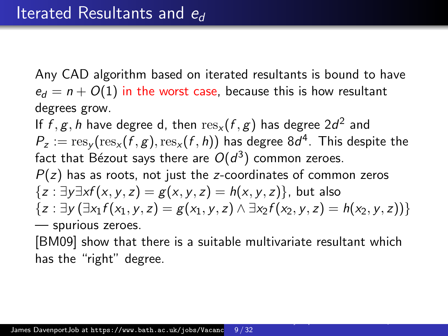Any CAD algorithm based on iterated resultants is bound to have  $e_d = n + O(1)$  in the worst case, because this is how resultant degrees grow.

If  $f,g,h$  have degree d, then  ${\rm res}_\mathsf{x}(f,g)$  has degree  $2d^2$  and  $P_z := \operatorname{res}_{\mathsf{y}}(\operatorname{res}_{\mathsf{x}}(f,g),\operatorname{res}_{\mathsf{x}}(f,h))$  has degree  $8d^4.$  This despite the fact that Bézout says there are  $O(d^3)$  common zeroes.  $P(z)$  has as roots, not just the z-coordinates of common zeros  ${z : \exists y \exists x f(x, y, z) = g(x, y, z) = h(x, y, z)}$ , but also  ${z : \exists y (\exists x_1 f(x_1, y, z) = g(x_1, y, z) \land \exists x_2 f(x_2, y, z) = h(x_2, y, z))}$ — spurious zeroes.

[\[BM09\]](#page-21-2) show that there is a suitable multivariate resultant which has the "right" degree.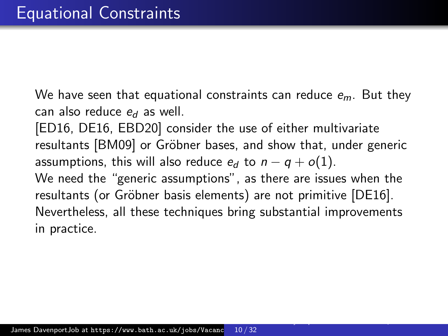We have seen that equational constraints can reduce  $e_m$ . But they can also reduce  $e_d$  as well.

[\[ED16,](#page-25-0) [DE16,](#page-23-3) [EBD20\]](#page-24-0) consider the use of either multivariate resultants [\[BM09\]](#page-21-2) or Gröbner bases, and show that, under generic assumptions, this will also reduce  $e_d$  to  $n - q + o(1)$ . We need the "generic assumptions", as there are issues when the resultants (or Gröbner basis elements) are not primitive [\[DE16\]](#page-23-3). Nevertheless, all these techniques bring substantial improvements in practice.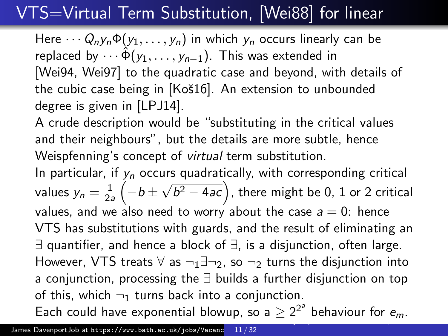# VTS=Virtual Term Substitution, [\[Wei88\]](#page-30-0) for linear

Here  $\cdots Q_n y_n \Phi(y_1, \ldots, y_n)$  in which  $y_n$  occurs linearly can be replaced by  $\cdots \hat{\Phi}(y_1, \ldots, y_{n-1})$ . This was extended in [\[Wei94,](#page-30-1) [Wei97\]](#page-30-2) to the quadratic case and beyond, with details of the cubic case being in [Koš16]. An extension to unbounded degree is given in [\[LPJ14\]](#page-27-1).

A crude description would be "substituting in the critical values and their neighbours", but the details are more subtle, hence Weispfenning's concept of virtual term substitution.

In particular, if  $y_n$  occurs quadratically, with corresponding critical values  $y_n = \frac{1}{2i}$  $rac{1}{2a}$   $\left(-b\pm\right)$ √  $\overline{b^2-4ac}$ ), there might be 0, 1 or 2 critical values, and we also need to worry about the case  $a = 0$ : hence VTS has substitutions with guards, and the result of eliminating an ∃ quantifier, and hence a block of ∃, is a disjunction, often large. However, VTS treats  $\forall$  as  $\neg_1 \exists \neg_2$ , so  $\neg_2$  turns the disjunction into a conjunction, processing the ∃ builds a further disjunction on top of this, which  $\neg_1$  turns back into a conjunction. Each could have exponential blowup, so a  $\geq 2^{2^a}$  behaviour for  $e_m$ .

[Varieties of Doubly-Exponential behaviour in Quantifier Elimination and Cylindrical Algebraic Decomposition](#page-0-0)

James DavenportJob at https://www.bath.ac.uk/jobs/Vacanc 11 / 32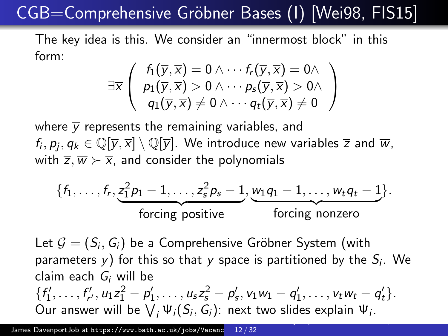# CGB=Comprehensive Gröbner Bases (I) [\[Wei98,](#page-30-3) [FIS15\]](#page-25-1)

The key idea is this. We consider an "innermost block" in this form:

$$
\exists \overline{x} \left( \begin{array}{c} f_1(\overline{y}, \overline{x}) = 0 \wedge \cdots f_r(\overline{y}, \overline{x}) = 0 \wedge \\ p_1(\overline{y}, \overline{x}) > 0 \wedge \cdots p_s(\overline{y}, \overline{x}) > 0 \wedge \\ q_1(\overline{y}, \overline{x}) \neq 0 \wedge \cdots q_t(\overline{y}, \overline{x}) \neq 0 \end{array} \right)
$$

where  $\overline{y}$  represents the remaining variables, and  $f_i,p_j,q_k\in\mathbb{Q}[\overline{y},\overline{x}]\setminus\mathbb{Q}[\overline{y}].$  We introduce new variables  $\overline{z}$  and  $\overline{w},$ with  $\overline{z}, \overline{w} \succ \overline{x}$ , and consider the polynomials

$$
\{f_1,\ldots,f_r,\underbrace{z_1^2p_1-1,\ldots,z_s^2p_s-1}_{\text{forcing positive}},\underbrace{w_1q_1-1,\ldots,w_tq_t-1}_{\text{forcing nonzero}}\}.
$$

Let  $\mathcal{G}=(\mathcal{S}_i,\mathcal{G}_i)$  be a Comprehensive Gröbner System (with parameters  $\overline{\mathsf{y}}$ ) for this so that  $\overline{\mathsf{y}}$  space is partitioned by the  $\mathsf{S}_i$ . We claim each  $G_i$  will be  $\{f'_1, \ldots, f'_{r'}, u_1 z_1^2 - p'_1, \ldots, u_s z_s^2 - p'_s, v_1 w_1 - q'_1, \ldots, v_t w_t - q'_t\}.$ Our answer will be  $\bigvee_i \Psi_i(S_i,G_i)$ : next two slides explain  $\Psi_i$ .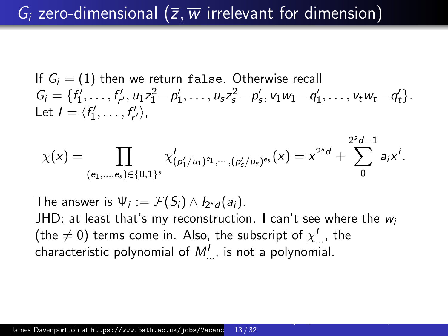If  $G_i = (1)$  then we return false. Otherwise recall  $G_i = \{f'_1, \ldots, f'_{r'}, u_1 z_1^2 - p'_1, \ldots, u_s z_s^2 - p'_s, v_1 w_1 - q'_1, \ldots, v_t w_t - q'_t\}.$ Let  $I = \langle f'_1, \ldots, f'_{r'} \rangle$ ,

$$
\chi(x) = \prod_{(e_1,\ldots,e_s) \in \{0,1\}^s} \chi'_{(p'_1/u_1)^{e_1},\cdots,(p'_s/u_s)^{e_s}}(x) = x^{2^sd} + \sum_{0}^{2^sd-1} a_i x^i.
$$

The answer is  $\Psi_i := \mathcal{F}(S_i) \wedge I_{2^s d}(a_i)$ .

JHD: at least that's my reconstruction. I can't see where the  $w_i$ (the  $\neq$  0) terms come in. Also, the subscript of  $\chi^I_{\dots}$ , the characteristic polynomial of  $M_{\dots}^I$ , is not a polynomial.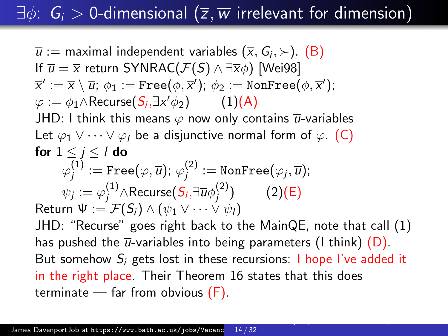# $\exists \phi: G_i > 0$ -dimensional  $(\overline{z}, \overline{w})$  irrelevant for dimension)

 $\overline{u}:=$  maximal independent variables  $(\overline{x},\mathsf{G}_i,\mathord{\succ})$ .  $(\mathsf{B})$ If  $\overline{u} = \overline{x}$  return SYNRAC( $\mathcal{F}(S) \wedge \exists \overline{x} \phi$ ) [\[Wei98\]](#page-30-3)  $\overline{\mathsf{x}}^\prime:=\overline{\mathsf{x}}\setminus\overline{u};\ \phi_1:=\mathtt{Free}(\phi,\overline{\mathsf{x}}^\prime);\ \phi_2:=\mathtt{NonFree}(\phi,\overline{\mathsf{x}}^\prime);$  $\varphi := \phi_1 \wedge \mathsf{Recursive}(\mathcal{S}_i, \exists \overline{x}' \phi_2)$  (1)[\(A\)](#page-14-1) JHD: I think this means  $\varphi$  now only contains  $\overline{u}$ -variables Let  $\varphi_1 \vee \cdots \vee \varphi_l$  be a disjunctive normal form of  $\varphi$ . [\(C\)](#page-14-2) for  $1 \leq j \leq l$  do  $\varphi^{(1)}_i$  $j^{(1)}:=\operatorname{Free}(\varphi,\overline{u});\;\varphi^{(2)}_j$  $j^{(2)}:=\mathtt{NonFree}(\varphi_j, \overline{u});$  $\psi_j := \varphi^{(1)}_j \wedge \mathsf{Recursive}( \mathcal{S}_i , \exists \overline{u} \phi^{(2)}_j )$  $j^{(2)}$ ) (2)[\(E\)](#page-14-3) Return  $\Psi := \mathcal{F}(S_i) \wedge (\psi_1 \vee \cdots \vee \psi_l)$ JHD: "Recurse" goes right back to the MainQE, note that call (1) has pushed the  $\overline{u}$ -variables into being parameters (I think) [\(D\)](#page-14-4). But somehow  $S_i$  gets lost in these recursions: I hope I've added it in the right place. Their Theorem 16 states that this does terminate  $-$  far from obvious  $(F)$ .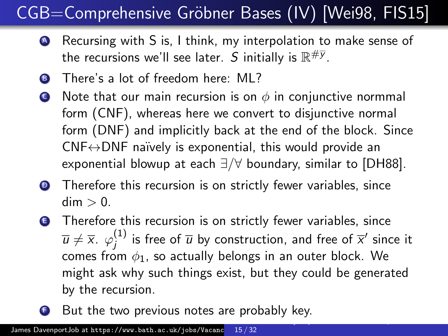# CGB=Comprehensive Gröbner Bases (IV) [\[Wei98,](#page-30-3) [FIS15\]](#page-25-1)

- <span id="page-14-1"></span><sup>A</sup> Recursing with S is, I think, my interpolation to make sense of the recursions we'll see later.  $S$  initially is  $\mathbb{R}^{\# \overline{\mathsf{y}}}$ .
- <span id="page-14-0"></span>**B** There's a lot of freedom here: MI?
- <span id="page-14-2"></span> $\bullet$  Note that our main recursion is on  $\phi$  in conjunctive normmal form (CNF), whereas here we convert to disjunctive normal form (DNF) and implicitly back at the end of the block. Since  $CNF \leftrightarrow DNF$  naïvely is exponential, this would provide an exponential blowup at each ∃/∀ boundary, similar to [\[DH88\]](#page-23-1).
- <span id="page-14-4"></span>**•** Therefore this recursion is on strictly fewer variables, since  $dim > 0$ .
- <span id="page-14-3"></span>**E** Therefore this recursion is on strictly fewer variables, since  $\overline{u} \neq \overline{x}$ .  $\varphi_i^{(1)}$  $j^{(1)}$  is free of  $\overline{u}$  by construction, and free of  $\overline{x}^{\prime}$  since it comes from  $\phi_1$ , so actually belongs in an outer block. We might ask why such things exist, but they could be generated by the recursion.
- <span id="page-14-5"></span>But the two previous notes are probably key. [Varieties of Doubly-Exponential behaviour in Quantifier Elimination and Cylindrical Algebraic Decomposition](#page-0-0)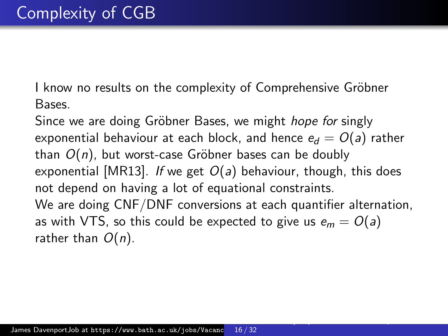I know no results on the complexity of Comprehensive Gröbner Bases.

Since we are doing Gröbner Bases, we might *hope for* singly exponential behaviour at each block, and hence  $e_d = O(a)$  rather than  $O(n)$ , but worst-case Gröbner bases can be doubly exponential [\[MR13\]](#page-29-2). If we get  $O(a)$  behaviour, though, this does not depend on having a lot of equational constraints. We are doing CNF/DNF conversions at each quantifier alternation, as with VTS, so this could be expected to give us  $e_m = O(a)$ rather than  $O(n)$ .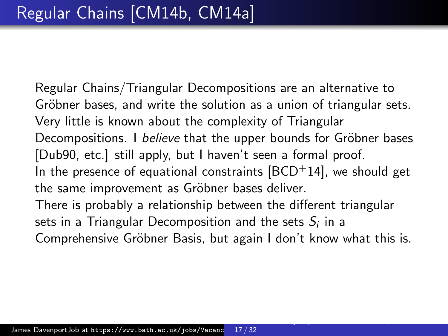Regular Chains/Triangular Decompositions are an alternative to Gröbner bases, and write the solution as a union of triangular sets. Very little is known about the complexity of Triangular Decompositions. I believe that the upper bounds for Gröbner bases [\[Dub90,](#page-24-1) etc.] still apply, but I haven't seen a formal proof. In the presence of equational constraints  $[BCD+14]$  $[BCD+14]$ , we should get the same improvement as Gröbner bases deliver. There is probably a relationship between the different triangular sets in a Triangular Decomposition and the sets  $\mathcal{S}_i$  in a Comprehensive Gröbner Basis, but again I don't know what this is.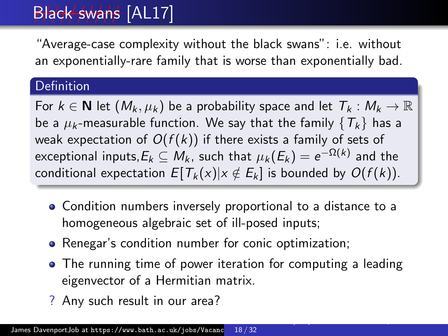# Black swans [\[AL17\]](#page-20-2)

"Average-case complexity without the black swans": i.e. without an exponentially-rare family that is worse than exponentially bad.

#### **Definition**

For  $k \in \mathbb{N}$  let  $(M_k, \mu_k)$  be a probability space and let  $T_k : M_k \to \mathbb{R}$ be a  $\mu_k$ -measurable function. We say that the family  $\{T_k\}$  has a weak expectation of  $O(f(k))$  if there exists a family of sets of exceptional inputs, $E_k\subseteq M_k$ , such that  $\mu_k(E_k)=e^{-\Omega(k)}$  and the conditional expectation  $E[T_k(x)|x \notin E_k]$  is bounded by  $O(f(k))$ .

- Condition numbers inversely proportional to a distance to a homogeneous algebraic set of ill-posed inputs;
- Renegar's condition number for conic optimization;
- The running time of power iteration for computing a leading eigenvector of a Hermitian matrix.
- ? Any such result in our area?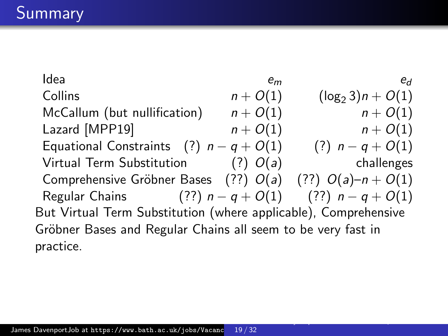Idea em em em edificios en em edificios en el emperador en el emperador en el em edificio en el em edificio e Collins  $n + O(1)$   $(\log_2 3)n + O(1)$ <br>McCallum (but nullification)  $n + O(1)$   $n + O(1)$ McCallum (but nullification)  $n + O(1)$ Lazard [\[MPP19\]](#page-28-1)  $n + O(1)$   $n + O(1)$ Equational Constraints (?)  $n - q + O(1)$  (?)  $n - q + O(1)$ Virtual Term Substitution  $(?) \ O(a)$  challenges Comprehensive Gröbner Bases (??)  $O(a)$  (??)  $O(a)-n+O(1)$ Regular Chains (??)  $n - q + O(1)$  (??)  $n - q + O(1)$ But Virtual Term Substitution (where applicable), Comprehensive Gröbner Bases and Regular Chains all seem to be very fast in practice.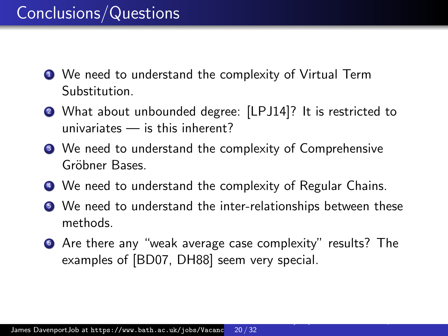## Conclusions/Questions

- <sup>1</sup> We need to understand the complexity of Virtual Term Substitution.
- <sup>2</sup> What about unbounded degree: [\[LPJ14\]](#page-27-1)? It is restricted to univariates — is this inherent?
- <sup>3</sup> We need to understand the complexity of Comprehensive Gröbner Bases.
- <sup>4</sup> We need to understand the complexity of Regular Chains.
- <sup>5</sup> We need to understand the inter-relationships between these methods.
- <sup>6</sup> Are there any "weak average case complexity" results? The examples of [\[BD07,](#page-20-0) [DH88\]](#page-23-1) seem very special.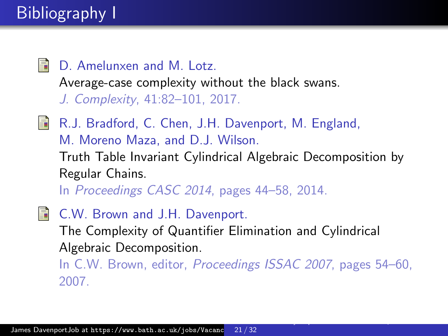<span id="page-20-2"></span>譶 D. Amelunxen and M. Lotz. Average-case complexity without the black swans. J. Complexity, 41:82–101, 2017.

<span id="page-20-1"></span>**R.J. Bradford, C. Chen, J.H. Davenport, M. England,** M. Moreno Maza, and D.J. Wilson. Truth Table Invariant Cylindrical Algebraic Decomposition by Regular Chains.

In Proceedings CASC 2014, pages 44–58, 2014.

<span id="page-20-0"></span>**■ C.W. Brown and J.H. Davenport.** The Complexity of Quantifier Elimination and Cylindrical Algebraic Decomposition. In C.W. Brown, editor, Proceedings ISSAC 2007, pages 54–60, 2007.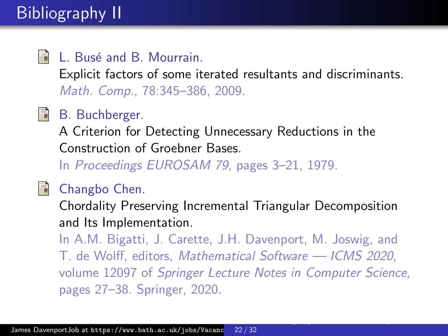# Bibliography II

#### <span id="page-21-2"></span>螶 L. Busé and B. Mourrain.

Explicit factors of some iterated resultants and discriminants. Math. Comp., 78:345–386, 2009.

## <span id="page-21-0"></span>B. Buchberger.

A Criterion for Detecting Unnecessary Reductions in the Construction of Groebner Bases.

In Proceedings EUROSAM 79, pages 3–21, 1979.

<span id="page-21-1"></span>

#### Changbo Chen.

Chordality Preserving Incremental Triangular Decomposition and Its Implementation.

In A.M. Bigatti, J. Carette, J.H. Davenport, M. Joswig, and T. de Wolff, editors, Mathematical Software — ICMS 2020, volume 12097 of Springer Lecture Notes in Computer Science, pages 27–38. Springer, 2020.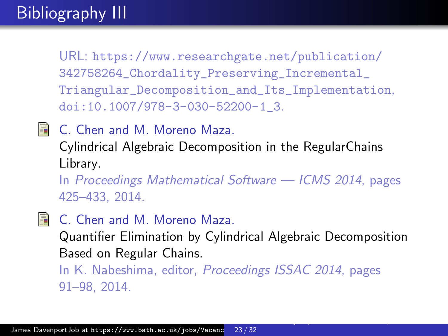# Bibliography III

URL: [https://www.researchgate.net/publication/](https://www.researchgate.net/publication/342758264_Chordality_Preserving_Incremental_Triangular_Decomposition_and_Its_Implementation) [342758264\\_Chordality\\_Preserving\\_Incremental\\_](https://www.researchgate.net/publication/342758264_Chordality_Preserving_Incremental_Triangular_Decomposition_and_Its_Implementation) [Triangular\\_Decomposition\\_and\\_Its\\_Implementation](https://www.researchgate.net/publication/342758264_Chordality_Preserving_Incremental_Triangular_Decomposition_and_Its_Implementation), [doi:10.1007/978-3-030-52200-1\\_3](https://doi.org/10.1007/978-3-030-52200-1_3).

<span id="page-22-1"></span>**E** C. Chen and M. Moreno Maza.

Cylindrical Algebraic Decomposition in the RegularChains Library.

In Proceedings Mathematical Software — ICMS 2014, pages 425–433, 2014.

<span id="page-22-0"></span>

**C.** Chen and M. Moreno Maza.

Quantifier Elimination by Cylindrical Algebraic Decomposition Based on Regular Chains.

[Varieties of Doubly-Exponential behaviour in Quantifier Elimination and Cylindrical Algebraic Decomposition](#page-0-0)

In K. Nabeshima, editor, Proceedings ISSAC 2014, pages 91–98, 2014.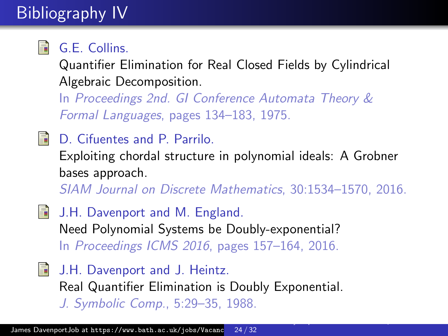# Bibliography IV

<span id="page-23-0"></span>

## G.E. Collins.

Quantifier Elimination for Real Closed Fields by Cylindrical Algebraic Decomposition.

In Proceedings 2nd. GI Conference Automata Theory & Formal Languages, pages 134–183, 1975.

<span id="page-23-2"></span>晶 D. Cifuentes and P. Parrilo.

> Exploiting chordal structure in polynomial ideals: A Grobner bases approach.

SIAM Journal on Discrete Mathematics, 30:1534–1570, 2016.

- <span id="page-23-3"></span>**J.H. Davenport and M. England.** Need Polynomial Systems be Doubly-exponential? In Proceedings ICMS 2016, pages 157–164, 2016.
- <span id="page-23-1"></span>**J.H.** Davenport and J. Heintz. Real Quantifier Elimination is Doubly Exponential. J. Symbolic Comp., 5:29–35, 1988.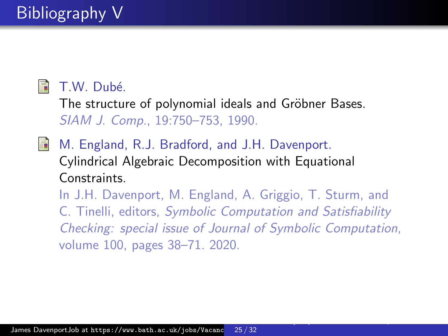## <span id="page-24-1"></span>**■ T.W. Dubé.**

The structure of polynomial ideals and Gröbner Bases. SIAM J. Comp., 19:750–753, 1990.

<span id="page-24-0"></span>量 M. England, R.J. Bradford, and J.H. Davenport. Cylindrical Algebraic Decomposition with Equational Constraints.

In J.H. Davenport, M. England, A. Griggio, T. Sturm, and C. Tinelli, editors, Symbolic Computation and Satisfiability Checking: special issue of Journal of Symbolic Computation, volume 100, pages 38–71. 2020.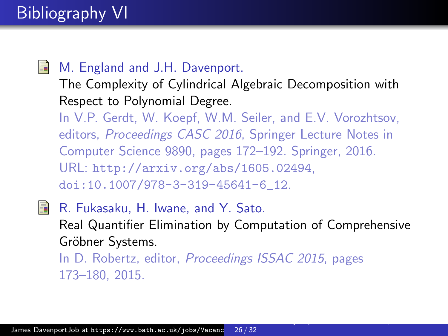# Bibliography VI

### <span id="page-25-0"></span>量

#### M. England and J.H. Davenport.

The Complexity of Cylindrical Algebraic Decomposition with Respect to Polynomial Degree.

In V.P. Gerdt, W. Koepf, W.M. Seiler, and E.V. Vorozhtsov, editors, Proceedings CASC 2016, Springer Lecture Notes in Computer Science 9890, pages 172–192. Springer, 2016. URL: <http://arxiv.org/abs/1605.02494>, [doi:10.1007/978-3-319-45641-6\\_12](https://doi.org/10.1007/978-3-319-45641-6_12).

<span id="page-25-1"></span>S. R. Fukasaku, H. Iwane, and Y. Sato. Real Quantifier Elimination by Computation of Comprehensive Gröbner Systems. In D. Robertz, editor, Proceedings ISSAC 2015, pages 173–180, 2015.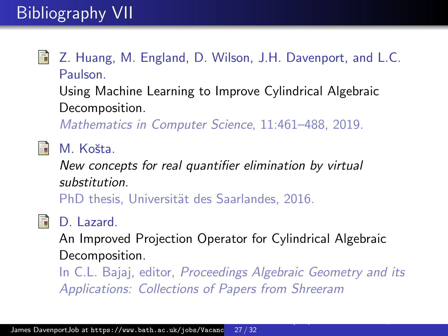# Bibliography VII

- <span id="page-26-1"></span>譶
- Z. Huang, M. England, D. Wilson, J.H. Davenport, and L.C. Paulson.

Using Machine Learning to Improve Cylindrical Algebraic Decomposition.

Mathematics in Computer Science, 11:461–488, 2019.

<span id="page-26-2"></span>暈 M. Košta.

> New concepts for real quantifier elimination by virtual substitution.

PhD thesis, Universität des Saarlandes, 2016.

<span id="page-26-0"></span>**i** D. Lazard.

An Improved Projection Operator for Cylindrical Algebraic Decomposition.

In C.L. Bajaj, editor, Proceedings Algebraic Geometry and its Applications: Collections of Papers from Shreeram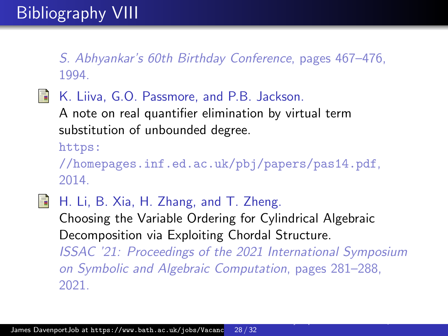S. Abhyankar's 60th Birthday Conference, pages 467–476, 1994.

<span id="page-27-1"></span>**K. Liiva, G.O. Passmore, and P.B. Jackson.** 

A note on real quantifier elimination by virtual term substitution of unbounded degree.

[https:](https://homepages.inf.ed.ac.uk/pbj/papers/pas14.pdf)

[//homepages.inf.ed.ac.uk/pbj/papers/pas14.pdf](https://homepages.inf.ed.ac.uk/pbj/papers/pas14.pdf), 2014.

<span id="page-27-0"></span>歸

H. Li, B. Xia, H. Zhang, and T. Zheng.

Choosing the Variable Ordering for Cylindrical Algebraic Decomposition via Exploiting Chordal Structure.

ISSAC '21: Proceedings of the 2021 International Symposium on Symbolic and Algebraic Computation, pages 281–288, 2021.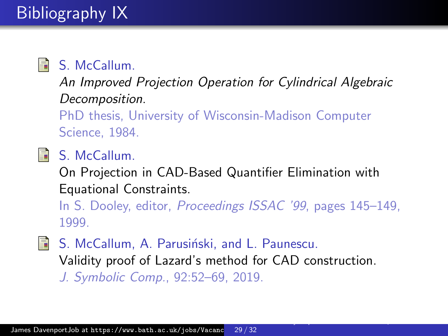<span id="page-28-0"></span>

## **A** S. McCallum.

An Improved Projection Operation for Cylindrical Algebraic Decomposition.

PhD thesis, University of Wisconsin-Madison Computer Science, 1984.

<span id="page-28-2"></span>S. McCallum.

On Projection in CAD-Based Quantifier Elimination with Equational Constraints.

In S. Dooley, editor, Proceedings ISSAC '99, pages 145–149, 1999.

[Varieties of Doubly-Exponential behaviour in Quantifier Elimination and Cylindrical Algebraic Decomposition](#page-0-0)

<span id="page-28-1"></span>S. McCallum, A. Parusiński, and L. Paunescu. Validity proof of Lazard's method for CAD construction. J. Symbolic Comp., 92:52–69, 2019.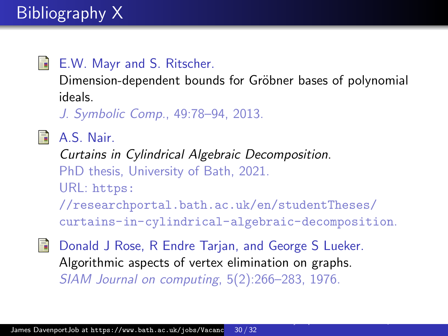## <span id="page-29-2"></span>**E.W. Mayr and S. Ritscher.**

Dimension-dependent bounds for Gröbner bases of polynomial ideals.

J. Symbolic Comp., 49:78–94, 2013.

## <span id="page-29-1"></span>**A.S. Nair.**

Curtains in Cylindrical Algebraic Decomposition. PhD thesis, University of Bath, 2021. URL: [https:](https://researchportal.bath.ac.uk/en/studentTheses/curtains-in-cylindrical-algebraic-decomposition) [//researchportal.bath.ac.uk/en/studentTheses/](https://researchportal.bath.ac.uk/en/studentTheses/curtains-in-cylindrical-algebraic-decomposition) [curtains-in-cylindrical-algebraic-decomposition](https://researchportal.bath.ac.uk/en/studentTheses/curtains-in-cylindrical-algebraic-decomposition).

[Varieties of Doubly-Exponential behaviour in Quantifier Elimination and Cylindrical Algebraic Decomposition](#page-0-0)

<span id="page-29-0"></span>

Donald J Rose, R Endre Tarjan, and George S Lueker. Algorithmic aspects of vertex elimination on graphs. SIAM Journal on computing, 5(2):266–283, 1976.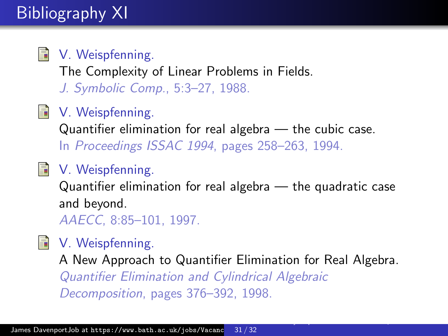# Bibliography XI

<span id="page-30-0"></span>

#### V. Weispfenning.

The Complexity of Linear Problems in Fields. J. Symbolic Comp., 5:3–27, 1988.

## <span id="page-30-1"></span>V. Weispfenning.

Quantifier elimination for real algebra — the cubic case. In Proceedings ISSAC 1994, pages 258–263, 1994.

## <span id="page-30-2"></span>V. Weispfenning.

Quantifier elimination for real algebra — the quadratic case and beyond.

AAECC, 8:85–101, 1997.

## <span id="page-30-3"></span>V. Weispfenning.

A New Approach to Quantifier Elimination for Real Algebra. Quantifier Elimination and Cylindrical Algebraic Decomposition, pages 376–392, 1998.